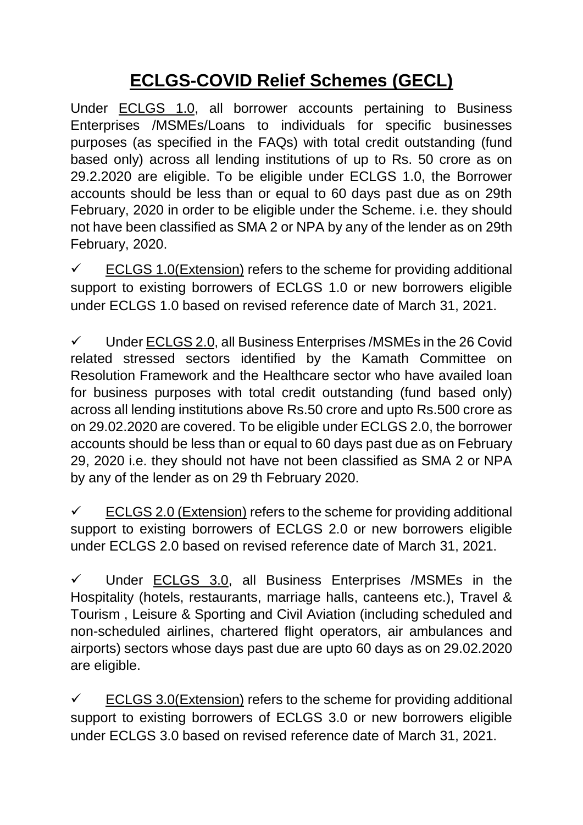## **ECLGS-COVID Relief Schemes (GECL)**

Under ECLGS 1.0, all borrower accounts pertaining to Business Enterprises /MSMEs/Loans to individuals for specific businesses purposes (as specified in the FAQs) with total credit outstanding (fund based only) across all lending institutions of up to Rs. 50 crore as on 29.2.2020 are eligible. To be eligible under ECLGS 1.0, the Borrower accounts should be less than or equal to 60 days past due as on 29th February, 2020 in order to be eligible under the Scheme. i.e. they should not have been classified as SMA 2 or NPA by any of the lender as on 29th February, 2020.

 $\checkmark$  ECLGS 1.0(Extension) refers to the scheme for providing additional support to existing borrowers of ECLGS 1.0 or new borrowers eligible under ECLGS 1.0 based on revised reference date of March 31, 2021.

 $\checkmark$  Under ECLGS 2.0, all Business Enterprises /MSMEs in the 26 Covid related stressed sectors identified by the Kamath Committee on Resolution Framework and the Healthcare sector who have availed loan for business purposes with total credit outstanding (fund based only) across all lending institutions above Rs.50 crore and upto Rs.500 crore as on 29.02.2020 are covered. To be eligible under ECLGS 2.0, the borrower accounts should be less than or equal to 60 days past due as on February 29, 2020 i.e. they should not have not been classified as SMA 2 or NPA by any of the lender as on 29 th February 2020.

 $\checkmark$  ECLGS 2.0 (Extension) refers to the scheme for providing additional support to existing borrowers of ECLGS 2.0 or new borrowers eligible under ECLGS 2.0 based on revised reference date of March 31, 2021.

 $\checkmark$  Under ECLGS 3.0, all Business Enterprises /MSMEs in the Hospitality (hotels, restaurants, marriage halls, canteens etc.), Travel & Tourism , Leisure & Sporting and Civil Aviation (including scheduled and non-scheduled airlines, chartered flight operators, air ambulances and airports) sectors whose days past due are upto 60 days as on 29.02.2020 are eligible.

 $\checkmark$  ECLGS 3.0(Extension) refers to the scheme for providing additional support to existing borrowers of ECLGS 3.0 or new borrowers eligible under ECLGS 3.0 based on revised reference date of March 31, 2021.